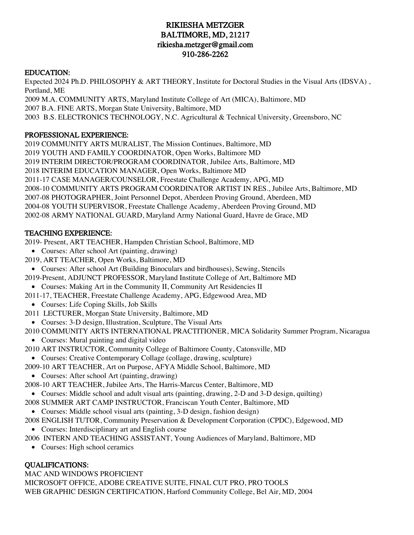# RIKIESHA METZGER BALTIMORE, MD, 21217 rikiesha.metzger@gmail.com 910-286-2262

#### EDUCATION:

Expected 2024 Ph.D. PHILOSOPHY & ART THEORY, Institute for Doctoral Studies in the Visual Arts (IDSVA) , Portland, ME 2009 M.A. COMMUNITY ARTS, Maryland Institute College of Art (MICA), Baltimore, MD

2007 B.A. FINE ARTS, Morgan State University, Baltimore, MD

2003 B.S. ELECTRONICS TECHNOLOGY, N.C. Agricultural & Technical University, Greensboro, NC

## PROFESSIONAL EXPERIENCE:

2019 COMMUNITY ARTS MURALIST, The Mission Continues, Baltimore, MD 2019 YOUTH AND FAMILY COORDINATOR, Open Works, Baltimore MD 2019 INTERIM DIRECTOR/PROGRAM COORDINATOR, Jubilee Arts, Baltimore, MD 2018 INTERIM EDUCATION MANAGER, Open Works, Baltimore MD 2011-17 CASE MANAGER/COUNSELOR, Freestate Challenge Academy, APG, MD 2008-10 COMMUNITY ARTS PROGRAM COORDINATOR ARTIST IN RES., Jubilee Arts, Baltimore, MD 2007-08 PHOTOGRAPHER, Joint Personnel Depot, Aberdeen Proving Ground, Aberdeen, MD 2004-08 YOUTH SUPERVISOR, Freestate Challenge Academy, Aberdeen Proving Ground, MD 2002-08 ARMY NATIONAL GUARD, Maryland Army National Guard, Havre de Grace, MD

## TEACHING EXPERIENCE:

2019- Present, ART TEACHER, Hampden Christian School, Baltimore, MD

- Courses: After school Art (painting, drawing)
- 2019, ART TEACHER, Open Works, Baltimore, MD
- Courses: After school Art (Building Binoculars and birdhouses), Sewing, Stencils
- 2019-Present, ADJUNCT PROFESSOR, Maryland Institute College of Art, Baltimore MD
- Courses: Making Art in the Community II, Community Art Residencies II
- 2011-17, TEACHER, Freestate Challenge Academy, APG, Edgewood Area, MD
	- Courses: Life Coping Skills, Job Skills
- 2011 LECTURER, Morgan State University, Baltimore, MD
- Courses: 3-D design, Illustration, Sculpture, The Visual Arts
- 2010 COMMUNITY ARTS INTERNATIONAL PRACTITIONER, MICA Solidarity Summer Program, Nicaragua
	- Courses: Mural painting and digital video
- 2010 ART INSTRUCTOR, Community College of Baltimore County, Catonsville, MD
- Courses: Creative Contemporary Collage (collage, drawing, sculpture)
- 2009-10 ART TEACHER, Art on Purpose, AFYA Middle School, Baltimore, MD
- Courses: After school Art (painting, drawing)
- 2008-10 ART TEACHER, Jubilee Arts, The Harris-Marcus Center, Baltimore, MD
- Courses: Middle school and adult visual arts (painting, drawing, 2-D and 3-D design, quilting)
- 2008 SUMMER ART CAMP INSTRUCTOR, Franciscan Youth Center, Baltimore, MD
- Courses: Middle school visual arts (painting, 3-D design, fashion design)
- 2008 ENGLISH TUTOR, Community Preservation & Development Corporation (CPDC), Edgewood, MD
	- Courses: Interdisciplinary art and English course
- 2006 INTERN AND TEACHING ASSISTANT, Young Audiences of Maryland, Baltimore, MD
	- Courses: High school ceramics

# QUALIFICATIONS:

MAC AND WINDOWS PROFICIENT MICROSOFT OFFICE, ADOBE CREATIVE SUITE, FINAL CUT PRO, PRO TOOLS WEB GRAPHIC DESIGN CERTIFICATION, Harford Community College, Bel Air, MD, 2004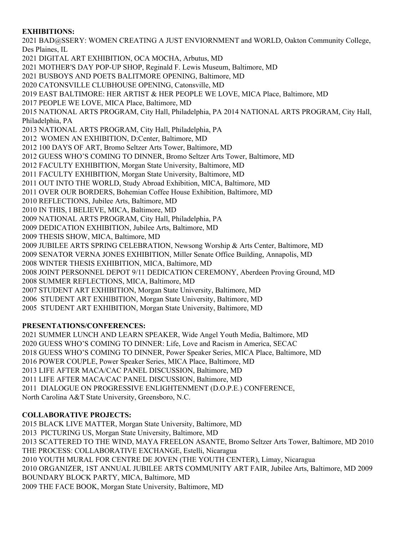# **EXHIBITIONS:**

2021 BAD@SSERY: WOMEN CREATING A JUST ENVIORNMENT and WORLD, Oakton Community College, Des Plaines, IL

2021 DIGITAL ART EXHIBITION, OCA MOCHA, Arbutus, MD

2021 MOTHER'S DAY POP-UP SHOP, Reginald F. Lewis Museum, Baltimore, MD

2021 BUSBOYS AND POETS BALITMORE OPENING, Baltimore, MD

2020 CATONSVILLE CLUBHOUSE OPENING, Catonsville, MD

2019 EAST BALTIMORE: HER ARTIST & HER PEOPLE WE LOVE, MICA Place, Baltimore, MD

2017 PEOPLE WE LOVE, MICA Place, Baltimore, MD

2015 NATIONAL ARTS PROGRAM, City Hall, Philadelphia, PA 2014 NATIONAL ARTS PROGRAM, City Hall, Philadelphia, PA

2013 NATIONAL ARTS PROGRAM, City Hall, Philadelphia, PA

2012 WOMEN AN EXHIBITION, D:Center, Baltimore, MD

2012 100 DAYS OF ART, Bromo Seltzer Arts Tower, Baltimore, MD

2012 GUESS WHO'S COMING TO DINNER, Bromo Seltzer Arts Tower, Baltimore, MD

2012 FACULTY EXHIBITION, Morgan State University, Baltimore, MD

2011 FACULTY EXHIBITION, Morgan State University, Baltimore, MD

2011 OUT INTO THE WORLD, Study Abroad Exhibition, MICA, Baltimore, MD

2011 OVER OUR BORDERS, Bohemian Coffee House Exhibition, Baltimore, MD

2010 REFLECTIONS, Jubilee Arts, Baltimore, MD

2010 IN THIS, I BELIEVE, MICA, Baltimore, MD

2009 NATIONAL ARTS PROGRAM, City Hall, Philadelphia, PA

2009 DEDICATION EXHIBITION, Jubilee Arts, Baltimore, MD

2009 THESIS SHOW, MICA, Baltimore, MD

2009 JUBILEE ARTS SPRING CELEBRATION, Newsong Worship & Arts Center, Baltimore, MD

2009 SENATOR VERNA JONES EXHIBITION, Miller Senate Office Building, Annapolis, MD

2008 WINTER THESIS EXHIBITION, MICA, Baltimore, MD

2008 JOINT PERSONNEL DEPOT 9/11 DEDICATION CEREMONY, Aberdeen Proving Ground, MD

2008 SUMMER REFLECTIONS, MICA, Baltimore, MD

2007 STUDENT ART EXHIBITION, Morgan State University, Baltimore, MD

2006 STUDENT ART EXHIBITION, Morgan State University, Baltimore, MD

2005 STUDENT ART EXHIBITION, Morgan State University, Baltimore, MD

#### **PRESENTATIONS/CONFERENCES:**

2021 SUMMER LUNCH AND LEARN SPEAKER, Wide Angel Youth Media, Baltimore, MD 2020 GUESS WHO'S COMING TO DINNER: Life, Love and Racism in America, SECAC 2018 GUESS WHO'S COMING TO DINNER, Power Speaker Series, MICA Place, Baltimore, MD 2016 POWER COUPLE, Power Speaker Series, MICA Place, Baltimore, MD 2013 LIFE AFTER MACA/CAC PANEL DISCUSSION, Baltimore, MD 2011 LIFE AFTER MACA/CAC PANEL DISCUSSION, Baltimore, MD 2011 DIALOGUE ON PROGRESSIVE ENLIGHTENMENT (D.O.P.E.) CONFERENCE, North Carolina A&T State University, Greensboro, N.C.

#### **COLLABORATIVE PROJECTS:**

2015 BLACK LIVE MATTER, Morgan State University, Baltimore, MD 2013 PICTURING US, Morgan State University, Baltimore, MD 2013 SCATTERED TO THE WIND, MAYA FREELON ASANTE, Bromo Seltzer Arts Tower, Baltimore, MD 2010 THE PROCESS: COLLABORATIVE EXCHANGE, Estelli, Nicaragua 2010 YOUTH MURAL FOR CENTRE DE JOVEN (THE YOUTH CENTER), Limay, Nicaragua 2010 ORGANIZER, 1ST ANNUAL JUBILEE ARTS COMMUNITY ART FAIR, Jubilee Arts, Baltimore, MD 2009 BOUNDARY BLOCK PARTY, MICA, Baltimore, MD 2009 THE FACE BOOK, Morgan State University, Baltimore, MD